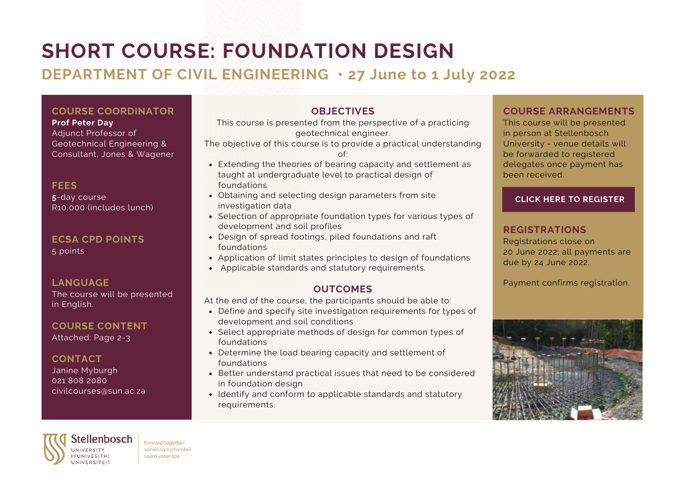# **SHORT COURSE: FOUNDATION DESIGN**

# **DEPARTMENT OF CIVIL ENGINEERING • 27 June to 1 July 2022**

# **COURSE COORDINATOR**

#### **Prof Peter Day**

Adjunct Professor of Geotechnical Engineering & Consultant, Jones & Wagener

**FEES 5**-day course R10,000 (includes lunch)

**ECSA CPD POINTS** 5 points

### **LANGUAGE**

The course will be presented in English.

# **COURSE CONTENT**

Attached: Page 2-3

# **CONTACT**

Janine Myburgh 021 808 2080 civilcourses@sun.ac.za

# **OBJECTIVES**

This course is presented from the perspective of a practicing geotechnical engineer.

The objective of this course is to provide a practical understanding of:

- Extending the theories of bearing capacity and settlement as taught at undergraduate level to practical design of foundations
- Obtaining and selecting design parameters from site investigation data
- Selection of appropriate foundation types for various types of development and soil profiles
- Design of spread footings, piled foundations and raft foundations
- Application of limit states principles to design of foundations
- Applicable standards and statutory requirements.

### **OUTCOMES**

At the end of the course, the participants should be able to:

- Define and specify site investigation requirements for types of development and soil conditions
- Select appropriate methods of design for common types of foundations
- Determine the load bearing capacity and settlement of foundations
- Better understand practical issues that need to be considered in foundation design
- Identify and conform to applicable standards and statutory requirements.

### **COURSE ARRANGEMENTS**

This course will be presented in person at Stellenbosch University - venue details will be forwarded to registered delegates once payment has been received.

#### **CLICK HERE TO [REGISTER](https://shortcourses.sun.ac.za/application-form.html?offeringid=91927171-6ec0-ec11-abed-005056801c40)**

# **REGISTRATIONS**

Registrations close on 20 June 2022; all payments are due by 24 June 2022.

Payment confirms registration.





forward together sonke siya phambili saam vorentoe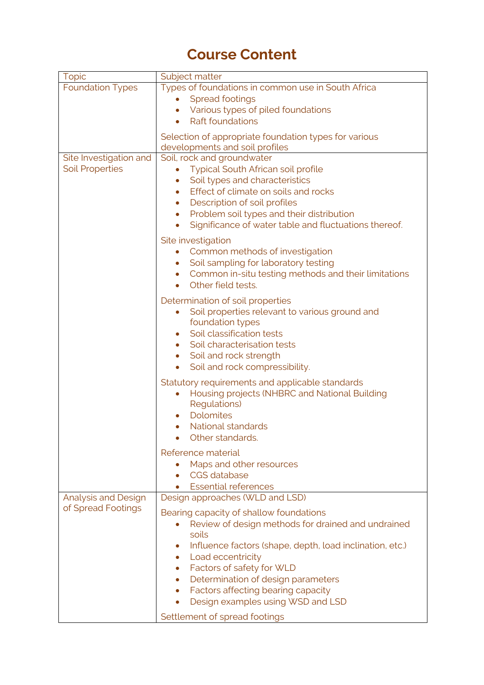# **Course Content**

| <b>Topic</b>               | Subject matter                                                        |
|----------------------------|-----------------------------------------------------------------------|
| <b>Foundation Types</b>    | Types of foundations in common use in South Africa                    |
|                            | <b>Spread footings</b>                                                |
|                            | Various types of piled foundations                                    |
|                            | <b>Raft foundations</b><br>$\bullet$                                  |
|                            | Selection of appropriate foundation types for various                 |
|                            | developments and soil profiles                                        |
| Site Investigation and     | Soil, rock and groundwater                                            |
| <b>Soil Properties</b>     | <b>Typical South African soil profile</b>                             |
|                            | Soil types and characteristics<br>٠                                   |
|                            | Effect of climate on soils and rocks<br>$\bullet$                     |
|                            | Description of soil profiles<br>$\bullet$                             |
|                            | Problem soil types and their distribution<br>۰                        |
|                            | Significance of water table and fluctuations thereof.<br>$\bullet$    |
|                            | Site investigation                                                    |
|                            | Common methods of investigation                                       |
|                            | Soil sampling for laboratory testing<br>$\bullet$                     |
|                            | Common in-situ testing methods and their limitations<br>$\bullet$     |
|                            | Other field tests.                                                    |
|                            | Determination of soil properties                                      |
|                            | Soil properties relevant to various ground and<br>$\bullet$           |
|                            | foundation types                                                      |
|                            | Soil classification tests                                             |
|                            | Soil characterisation tests<br>$\bullet$                              |
|                            | Soil and rock strength<br>$\bullet$                                   |
|                            | Soil and rock compressibility.<br>$\bullet$                           |
|                            | Statutory requirements and applicable standards                       |
|                            | Housing projects (NHBRC and National Building                         |
|                            | <b>Regulations</b> )                                                  |
|                            | Dolomites                                                             |
|                            | <b>National standards</b>                                             |
|                            | Other standards.                                                      |
|                            | Reference material                                                    |
|                            | Maps and other resources                                              |
|                            | <b>CGS</b> database                                                   |
|                            | <b>Essential references</b>                                           |
| <b>Analysis and Design</b> | Design approaches (WLD and LSD)                                       |
| of Spread Footings         | Bearing capacity of shallow foundations                               |
|                            | Review of design methods for drained and undrained                    |
|                            | soils                                                                 |
|                            | Influence factors (shape, depth, load inclination, etc.)<br>$\bullet$ |
|                            | Load eccentricity<br>$\bullet$                                        |
|                            | Factors of safety for WLD<br>۰                                        |
|                            | Determination of design parameters<br>$\bullet$                       |
|                            | Factors affecting bearing capacity<br>$\bullet$                       |
|                            | Design examples using WSD and LSD<br>$\bullet$                        |
|                            | Settlement of spread footings                                         |